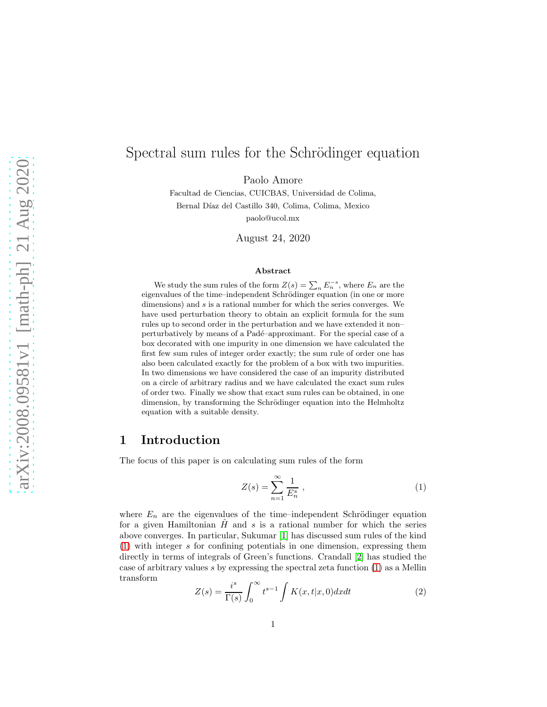# Spectral sum rules for the Schrödinger equation

Paolo Amore

Facultad de Ciencias, CUICBAS, Universidad de Colima, Bernal Díaz del Castillo 340, Colima, Colima, Mexico paolo@ucol.mx

August 24, 2020

#### Abstract

We study the sum rules of the form  $Z(s) = \sum_n E_n^{-s}$ , where  $E_n$  are the eigenvalues of the time–independent Schrödinger equation (in one or more dimensions) and s is a rational number for which the series converges. We have used perturbation theory to obtain an explicit formula for the sum rules up to second order in the perturbation and we have extended it non– perturbatively by means of a Padé–approximant. For the special case of a box decorated with one impurity in one dimension we have calculated the first few sum rules of integer order exactly; the sum rule of order one has also been calculated exactly for the problem of a box with two impurities. In two dimensions we have considered the case of an impurity distributed on a circle of arbitrary radius and we have calculated the exact sum rules of order two. Finally we show that exact sum rules can be obtained, in one dimension, by transforming the Schrödinger equation into the Helmholtz equation with a suitable density.

## 1 Introduction

The focus of this paper is on calculating sum rules of the form

<span id="page-0-0"></span>
$$
Z(s) = \sum_{n=1}^{\infty} \frac{1}{E_n^s} \,, \tag{1}
$$

where  $E_n$  are the eigenvalues of the time–independent Schrödinger equation for a given Hamiltonian  $\hat{H}$  and s is a rational number for which the series above converges. In particular, Sukumar [\[1\]](#page-23-0) has discussed sum rules of the kind [\(1\)](#page-0-0) with integer s for confining potentials in one dimension, expressing them directly in terms of integrals of Green's functions. Crandall [\[2\]](#page-23-1) has studied the case of arbitrary values s by expressing the spectral zeta function [\(1\)](#page-0-0) as a Mellin transform

$$
Z(s) = \frac{i^s}{\Gamma(s)} \int_0^\infty t^{s-1} \int K(x, t|x, 0) dx dt
$$
 (2)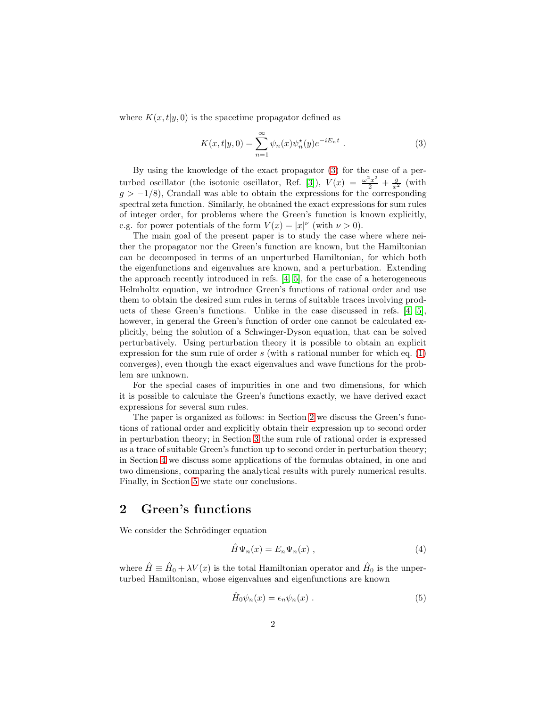where  $K(x, t|y, 0)$  is the spacetime propagator defined as

<span id="page-1-0"></span>
$$
K(x,t|y,0) = \sum_{n=1}^{\infty} \psi_n(x)\psi_n^*(y)e^{-iE_nt} .
$$
 (3)

By using the knowledge of the exact propagator [\(3\)](#page-1-0) for the case of a per-turbed oscillator (the isotonic oscillator, Ref. [\[3\]](#page-23-2)),  $V(x) = \frac{\omega^2 x^2}{2} + \frac{g}{x^2}$  (with  $g > -1/8$ ), Crandall was able to obtain the expressions for the corresponding spectral zeta function. Similarly, he obtained the exact expressions for sum rules of integer order, for problems where the Green's function is known explicitly, e.g. for power potentials of the form  $V(x) = |x|^{\nu}$  (with  $\nu > 0$ ).

The main goal of the present paper is to study the case where where neither the propagator nor the Green's function are known, but the Hamiltonian can be decomposed in terms of an unperturbed Hamiltonian, for which both the eigenfunctions and eigenvalues are known, and a perturbation. Extending the approach recently introduced in refs. [\[4,](#page-23-3) [5\]](#page-23-4), for the case of a heterogeneous Helmholtz equation, we introduce Green's functions of rational order and use them to obtain the desired sum rules in terms of suitable traces involving products of these Green's functions. Unlike in the case discussed in refs. [\[4,](#page-23-3) [5\]](#page-23-4), however, in general the Green's function of order one cannot be calculated explicitly, being the solution of a Schwinger-Dyson equation, that can be solved perturbatively. Using perturbation theory it is possible to obtain an explicit expression for the sum rule of order  $s$  (with  $s$  rational number for which eq. [\(1\)](#page-0-0) converges), even though the exact eigenvalues and wave functions for the problem are unknown.

For the special cases of impurities in one and two dimensions, for which it is possible to calculate the Green's functions exactly, we have derived exact expressions for several sum rules.

The paper is organized as follows: in Section [2](#page-1-1) we discuss the Green's functions of rational order and explicitly obtain their expression up to second order in perturbation theory; in Section [3](#page-4-0) the sum rule of rational order is expressed as a trace of suitable Green's function up to second order in perturbation theory; in Section [4](#page-6-0) we discuss some applications of the formulas obtained, in one and two dimensions, comparing the analytical results with purely numerical results. Finally, in Section [5](#page-22-0) we state our conclusions.

## <span id="page-1-1"></span>2 Green's functions

We consider the Schrödinger equation

$$
\hat{H}\Psi_n(x) = E_n \Psi_n(x) , \qquad (4)
$$

where  $\hat{H} \equiv \hat{H}_0 + \lambda V(x)$  is the total Hamiltonian operator and  $\hat{H}_0$  is the unperturbed Hamiltonian, whose eigenvalues and eigenfunctions are known

$$
\hat{H}_0 \psi_n(x) = \epsilon_n \psi_n(x) . \tag{5}
$$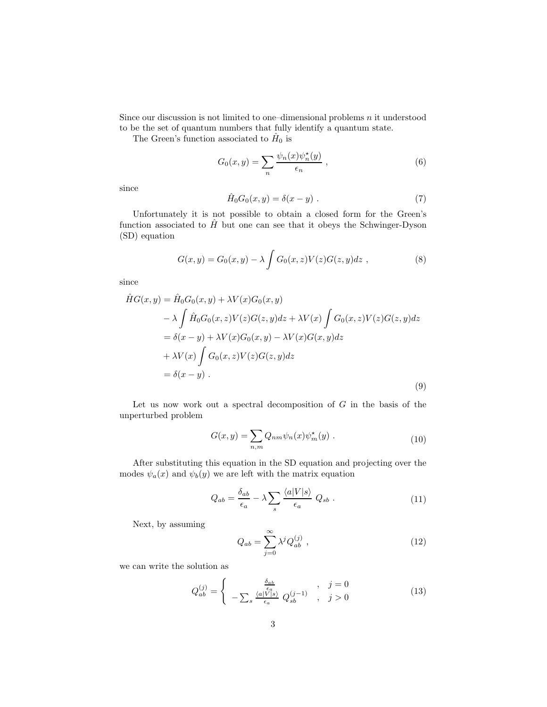Since our discussion is not limited to one–dimensional problems  $n$  it understood to be the set of quantum numbers that fully identify a quantum state.

The Green's function associated to  $\hat{H}_0$  is

$$
G_0(x,y) = \sum_n \frac{\psi_n(x)\psi_n^{\star}(y)}{\epsilon_n}, \qquad (6)
$$

since

$$
\hat{H}_0 G_0(x, y) = \delta(x - y) . \tag{7}
$$

Unfortunately it is not possible to obtain a closed form for the Green's function associated to  $\hat{H}$  but one can see that it obeys the Schwinger-Dyson (SD) equation

$$
G(x,y) = G_0(x,y) - \lambda \int G_0(x,z)V(z)G(z,y)dz , \qquad (8)
$$

<span id="page-2-1"></span>since

$$
\hat{H}G(x,y) = \hat{H}_0G_0(x,y) + \lambda V(x)G_0(x,y)
$$
\n
$$
- \lambda \int \hat{H}_0G_0(x,z)V(z)G(z,y)dz + \lambda V(x) \int G_0(x,z)V(z)G(z,y)dz
$$
\n
$$
= \delta(x-y) + \lambda V(x)G_0(x,y) - \lambda V(x)G(x,y)dz
$$
\n
$$
+ \lambda V(x) \int G_0(x,z)V(z)G(z,y)dz
$$
\n
$$
= \delta(x-y) .
$$
\n(9)

Let us now work out a spectral decomposition of  $G$  in the basis of the unperturbed problem

$$
G(x,y) = \sum_{n,m} Q_{nm} \psi_n(x) \psi_m^*(y) . \qquad (10)
$$

After substituting this equation in the SD equation and projecting over the modes  $\psi_a(x)$  and  $\psi_b(y)$  we are left with the matrix equation

$$
Q_{ab} = \frac{\delta_{ab}}{\epsilon_a} - \lambda \sum_s \frac{\langle a|V|s\rangle}{\epsilon_a} Q_{sb} . \qquad (11)
$$

Next, by assuming

<span id="page-2-0"></span>
$$
Q_{ab} = \sum_{j=0}^{\infty} \lambda^j Q_{ab}^{(j)} , \qquad (12)
$$

we can write the solution as

$$
Q_{ab}^{(j)} = \begin{cases} \frac{\delta_{ab}}{\epsilon_a} & j = 0\\ -\sum_s \frac{\langle a|V|s\rangle}{\epsilon_a} Q_{sb}^{(j-1)} & j > 0 \end{cases} \tag{13}
$$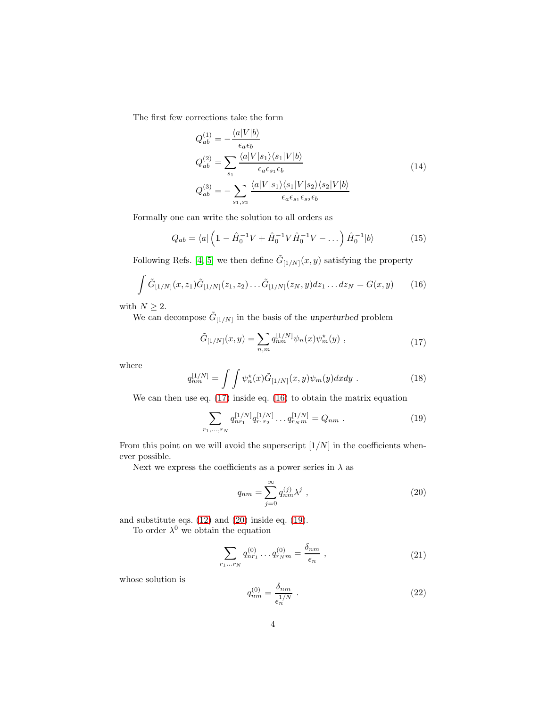The first few corrections take the form

$$
Q_{ab}^{(1)} = -\frac{\langle a|V|b\rangle}{\epsilon_a \epsilon_b}
$$
  
\n
$$
Q_{ab}^{(2)} = \sum_{s_1} \frac{\langle a|V|s_1\rangle\langle s_1|V|b\rangle}{\epsilon_a \epsilon_{s_1}\epsilon_b}
$$
  
\n
$$
Q_{ab}^{(3)} = -\sum_{s_1, s_2} \frac{\langle a|V|s_1\rangle\langle s_1|V|s_2\rangle\langle s_2|V|b\rangle}{\epsilon_a \epsilon_{s_1}\epsilon_{s_2}\epsilon_b}
$$
\n(14)

Formally one can write the solution to all orders as

$$
Q_{ab} = \langle a | \left( 1 - \hat{H}_0^{-1} V + \hat{H}_0^{-1} V \hat{H}_0^{-1} V - \dots \right) \hat{H}_0^{-1} | b \rangle \tag{15}
$$

Following Refs. [\[4,](#page-23-3) [5\]](#page-23-4) we then define  $\tilde{G}_{[1/N]}(x, y)$  satisfying the property

<span id="page-3-1"></span>
$$
\int \tilde{G}_{[1/N]}(x,z_1)\tilde{G}_{[1/N]}(z_1,z_2)\dots\tilde{G}_{[1/N]}(z_N,y)dz_1\dots dz_N = G(x,y) \qquad (16)
$$

with  $N\geq 2.$ 

We can decompose  $\tilde{G}_{[1/N]}$  in the basis of the unperturbed problem

$$
\tilde{G}_{[1/N]}(x,y) = \sum_{n,m} q_{nm}^{[1/N]} \psi_n(x) \psi_m^{\star}(y) , \qquad (17)
$$

<span id="page-3-0"></span>where

$$
q_{nm}^{[1/N]} = \int \int \psi_n^{\star}(x) \tilde{G}_{[1/N]}(x, y) \psi_m(y) dx dy . \qquad (18)
$$

We can then use eq. [\(17\)](#page-3-0) inside eq. [\(16\)](#page-3-1) to obtain the matrix equation

<span id="page-3-3"></span>
$$
\sum_{r_1,\dots,r_N} q_{nr_1}^{[1/N]} q_{r_1r_2}^{[1/N]} \dots q_{r_Nm}^{[1/N]} = Q_{nm} \tag{19}
$$

From this point on we will avoid the superscript  $[1/N]$  in the coefficients whenever possible.

Next we express the coefficients as a power series in  $\lambda$  as

<span id="page-3-2"></span>
$$
q_{nm} = \sum_{j=0}^{\infty} q_{nm}^{(j)} \lambda^j , \qquad (20)
$$

and substitute eqs. [\(12\)](#page-2-0) and [\(20\)](#page-3-2) inside eq. [\(19\)](#page-3-3).

To order  $\lambda^0$  we obtain the equation

$$
\sum_{r_1...r_N} q_{nr_1}^{(0)} \dots q_{r_N m}^{(0)} = \frac{\delta_{nm}}{\epsilon_n} \,, \tag{21}
$$

whose solution is

$$
q_{nm}^{(0)} = \frac{\delta_{nm}}{\epsilon_n^{1/N}} \tag{22}
$$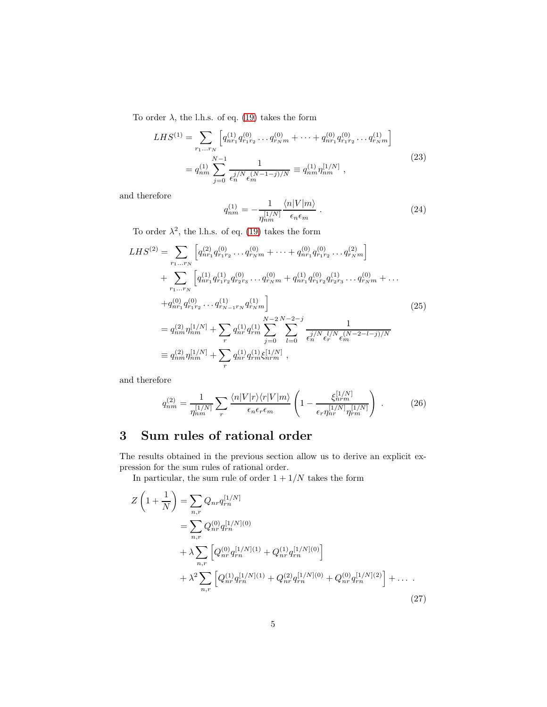To order  $\lambda$ , the l.h.s. of eq. [\(19\)](#page-3-3) takes the form

$$
LHS^{(1)} = \sum_{r_1...r_N} \left[ q_{nr_1}^{(1)} q_{r_1r_2}^{(0)} \dots q_{r_Nm}^{(0)} + \dots + q_{nr_1}^{(0)} q_{r_1r_2}^{(0)} \dots q_{r_Nm}^{(1)} \right]
$$
  
=  $q_{nm}^{(1)} \sum_{j=0}^{N-1} \frac{1}{\epsilon_n^{j/N} \epsilon_m^{(N-1-j)/N}} \equiv q_{nm}^{(1)} \eta_{nm}^{[1/N]}$ , (23)

and therefore

$$
q_{nm}^{(1)} = -\frac{1}{\eta_{nm}^{[1/N]}} \frac{\langle n|V|m\rangle}{\epsilon_n \epsilon_m} \ . \tag{24}
$$

To order  $\lambda^2$ , the l.h.s. of eq. [\(19\)](#page-3-3) takes the form

$$
LHS^{(2)} = \sum_{r_1...r_N} \left[ q_{nr_1}^{(2)} q_{r_1r_2}^{(0)} \dots q_{r_Nm}^{(0)} + \dots + q_{nr_1}^{(0)} q_{r_1r_2}^{(0)} \dots q_{r_Nm}^{(2)} \right] + \sum_{r_1...r_N} \left[ q_{nr_1}^{(1)} q_{r_1r_2}^{(1)} q_{r_2r_3}^{(0)} \dots q_{r_Nm}^{(0)} + q_{nr_1}^{(1)} q_{r_1r_2}^{(0)} q_{r_2r_3}^{(1)} \dots q_{r_Nm}^{(0)} + \dots + q_{nr_1}^{(0)} q_{r_1r_2}^{(0)} \dots q_{r_{N-1}r_N}^{(1)} q_{r_Nm}^{(1)} \right] = q_{nm}^{(2)} \eta_{nm}^{[1/N]} + \sum_r q_{nr}^{(1)} q_{rm}^{(1)} \sum_{j=0}^{N-2} \sum_{l=0}^{N-2-j} \frac{1}{\epsilon_n^{j/N} \epsilon_r^{l/N} \epsilon_m^{(N-2-l-j)/N}} \equiv q_{nm}^{(2)} \eta_{nm}^{[1/N]} + \sum_r q_{nr}^{(1)} q_{rm}^{(1)} \xi_{nrm}^{[1/N]},
$$
\n(25)

and therefore

$$
q_{nm}^{(2)} = \frac{1}{\eta_{nm}^{[1/N]}} \sum_{r} \frac{\langle n|V|r\rangle\langle r|V|m\rangle}{\epsilon_n \epsilon_r \epsilon_m} \left(1 - \frac{\xi_{nrm}^{[1/N]}}{\epsilon_r \eta_{nr}^{[1/N]} \eta_{rm}^{[1/N]}}\right) \,. \tag{26}
$$

# <span id="page-4-0"></span>3 Sum rules of rational order

The results obtained in the previous section allow us to derive an explicit expression for the sum rules of rational order.

In particular, the sum rule of order  $1 + 1/N$  takes the form

$$
Z\left(1+\frac{1}{N}\right) = \sum_{n,r} Q_{nr} q_{rn}^{[1/N]}
$$
  
= 
$$
\sum_{n,r} Q_{nr}^{(0)} q_{rn}^{[1/N](0)}
$$
  
+ 
$$
\lambda \sum_{n,r} \left[ Q_{nr}^{(0)} q_{rn}^{[1/N](1)} + Q_{nr}^{(1)} q_{rn}^{[1/N](0)} \right]
$$
  
+ 
$$
\lambda^2 \sum_{n,r} \left[ Q_{nr}^{(1)} q_{rn}^{[1/N](1)} + Q_{nr}^{(2)} q_{rn}^{[1/N](0)} + Q_{nr}^{(0)} q_{rn}^{[1/N](2)} \right] + \dots
$$
 (27)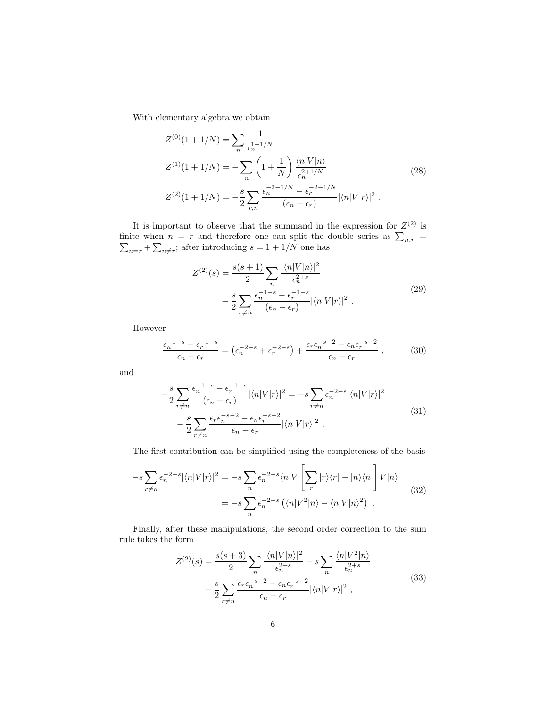With elementary algebra we obtain

$$
Z^{(0)}(1+1/N) = \sum_{n} \frac{1}{\epsilon_n^{1+1/N}}
$$
  
\n
$$
Z^{(1)}(1+1/N) = -\sum_{n} \left(1+\frac{1}{N}\right) \frac{\langle n|V|n\rangle}{\epsilon_n^{2+1/N}}
$$
  
\n
$$
Z^{(2)}(1+1/N) = -\frac{s}{2} \sum_{r,n} \frac{\epsilon_n^{-2-1/N} - \epsilon_r^{-2-1/N}}{(\epsilon_n - \epsilon_r)} |\langle n|V|r\rangle|^2.
$$
\n(28)

It is important to observe that the summand in the expression for  $Z^{(2)}$  is finite when  $n = r$  and therefore one can split the double series as  $\sum_{n,r} = \sum_{n=r} + \sum_{n \neq r}$ ; after introducing  $s = 1 + 1/N$  one has

$$
Z^{(2)}(s) = \frac{s(s+1)}{2} \sum_{n} \frac{|\langle n|V|n\rangle|^2}{\epsilon_n^{2+s}} - \frac{s}{2} \sum_{r \neq n} \frac{\epsilon_n^{-1-s} - \epsilon_r^{-1-s}}{(\epsilon_n - \epsilon_r)} |\langle n|V|r\rangle|^2.
$$
\n
$$
(29)
$$

However

$$
\frac{\epsilon_n^{-1-s} - \epsilon_r^{-1-s}}{\epsilon_n - \epsilon_r} = \left(\epsilon_n^{-2-s} + \epsilon_r^{-2-s}\right) + \frac{\epsilon_r \epsilon_n^{-s-2} - \epsilon_n \epsilon_r^{-s-2}}{\epsilon_n - \epsilon_r},\tag{30}
$$

and

$$
-\frac{s}{2} \sum_{r \neq n} \frac{\epsilon_n^{-1-s} - \epsilon_r^{-1-s}}{(\epsilon_n - \epsilon_r)} |\langle n|V|r \rangle|^2 = -s \sum_{r \neq n} \epsilon_n^{-2-s} |\langle n|V|r \rangle|^2
$$
  

$$
-\frac{s}{2} \sum_{r \neq n} \frac{\epsilon_r \epsilon_n^{-s-2} - \epsilon_n \epsilon_r^{-s-2}}{\epsilon_n - \epsilon_r} |\langle n|V|r \rangle|^2.
$$
 (31)

The first contribution can be simplified using the completeness of the basis

$$
-s\sum_{r\neq n} \epsilon_n^{-2-s} |\langle n|V|r\rangle|^2 = -s\sum_n \epsilon_n^{-2-s} \langle n|V\left[\sum_r |r\rangle\langle r| - |n\rangle\langle n|\right] V|n\rangle
$$
  
=  $-s\sum_n \epsilon_n^{-2-s} \left(\langle n|V^2|n\rangle - \langle n|V|n\rangle^2\right)$ . (32)

Finally, after these manipulations, the second order correction to the sum rule takes the form

$$
Z^{(2)}(s) = \frac{s(s+3)}{2} \sum_{n} \frac{|\langle n|V|n\rangle|^2}{\epsilon_n^{2+s}} - s \sum_{n} \frac{\langle n|V^2|n\rangle}{\epsilon_n^{2+s}} - \frac{s}{2} \sum_{r \neq n} \frac{\epsilon_r \epsilon_n^{-s-2} - \epsilon_n \epsilon_r^{-s-2}}{\epsilon_n - \epsilon_r} |\langle n|V|r\rangle|^2 , \qquad (33)
$$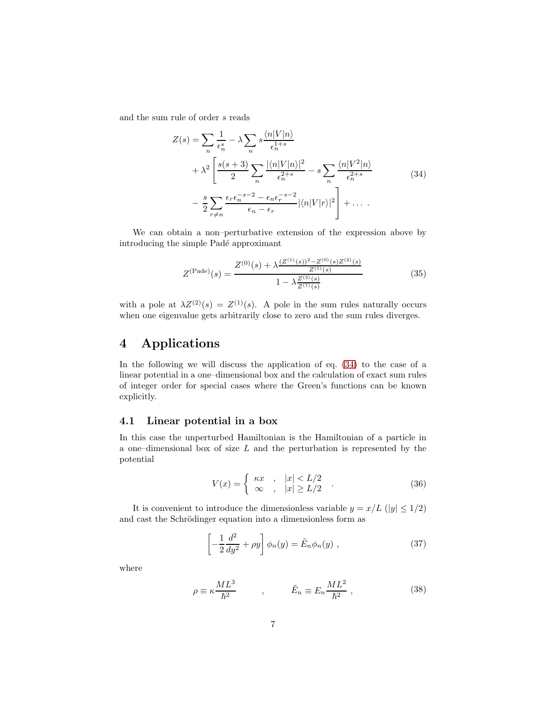<span id="page-6-1"></span>and the sum rule of order s reads

$$
Z(s) = \sum_{n} \frac{1}{\epsilon_n^s} - \lambda \sum_{n} s \frac{\langle n | V | n \rangle}{\epsilon_n^{1+s}} + \lambda^2 \left[ \frac{s(s+3)}{2} \sum_{n} \frac{|\langle n | V | n \rangle|^2}{\epsilon_n^{2+s}} - s \sum_{n} \frac{\langle n | V^2 | n \rangle}{\epsilon_n^{2+s}} - \frac{s}{2} \sum_{r \neq n} \frac{\epsilon_r \epsilon_n^{-s-2} - \epsilon_n \epsilon_r^{-s-2}}{\epsilon_n - \epsilon_r} |\langle n | V | r \rangle|^2 \right] + \dots
$$
(34)

We can obtain a non–perturbative extension of the expression above by introducing the simple Padé approximant

$$
Z^{(\text{Pade})}(s) = \frac{Z^{(0)}(s) + \lambda \frac{(Z^{(1)}(s))^2 - Z^{(0)}(s)Z^{(2)}(s)}{Z^{(1)}(s)}}{1 - \lambda \frac{Z^{(2)}(s)}{Z^{(1)}(s)}}
$$
(35)

<span id="page-6-3"></span>with a pole at  $\lambda Z^{(2)}(s) = Z^{(1)}(s)$ . A pole in the sum rules naturally occurs when one eigenvalue gets arbitrarily close to zero and the sum rules diverges.

## <span id="page-6-0"></span>4 Applications

In the following we will discuss the application of eq. [\(34\)](#page-6-1) to the case of a linear potential in a one–dimensional box and the calculation of exact sum rules of integer order for special cases where the Green's functions can be known explicitly.

#### 4.1 Linear potential in a box

In this case the unperturbed Hamiltonian is the Hamiltonian of a particle in a one–dimensional box of size  $L$  and the perturbation is represented by the potential

$$
V(x) = \begin{cases} \kappa x & , |x| < L/2 \\ \infty & , |x| \ge L/2 \end{cases} . \tag{36}
$$

It is convenient to introduce the dimensionless variable  $y = x/L$  (|y|  $\leq 1/2$ ) and cast the Schrödinger equation into a dimensionless form as

$$
\left[-\frac{1}{2}\frac{d^2}{dy^2} + \rho y\right]\phi_n(y) = \tilde{E}_n\phi_n(y) , \qquad (37)
$$

<span id="page-6-2"></span>where

$$
\rho \equiv \kappa \frac{ML^3}{\hbar^2} \qquad , \qquad \tilde{E}_n \equiv E_n \frac{ML^2}{\hbar^2} \,, \tag{38}
$$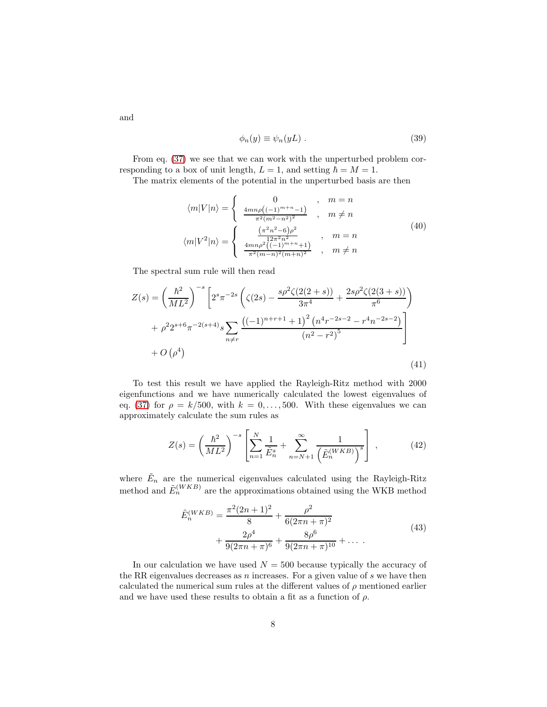$$
\phi_n(y) \equiv \psi_n(yL) . \tag{39}
$$

From eq. [\(37\)](#page-6-2) we see that we can work with the unperturbed problem corresponding to a box of unit length,  $L = 1$ , and setting  $\hbar = M = 1$ .

The matrix elements of the potential in the unperturbed basis are then

$$
\langle m|V|n\rangle = \begin{cases}\n0, & m = n \\
\frac{4mn\rho((-1)^{m+n}-1)}{\pi^2(m^2-n^2)^2}, & m \neq n\n\end{cases}
$$
\n
$$
\langle m|V^2|n\rangle = \begin{cases}\n\frac{(\pi^2n^2-6)\rho^2}{12\pi^2n^2}, & m = n \\
\frac{4mn\rho^2((-1)^{m+n}+1)}{\pi^2(m-n)^2(m+n)^2}, & m \neq n\n\end{cases}
$$
\n(40)

The spectral sum rule will then read

<span id="page-7-0"></span>
$$
Z(s) = \left(\frac{\hbar^2}{ML^2}\right)^{-s} \left[2^s \pi^{-2s} \left(\zeta(2s) - \frac{s\rho^2 \zeta(2(2+s))}{3\pi^4} + \frac{2s\rho^2 \zeta(2(3+s))}{\pi^6}\right) + \rho^2 2^{s+6} \pi^{-2(s+4)} s \sum_{n \neq r} \frac{\left((-1)^{n+r+1} + 1\right)^2 \left(n^4 r^{-2s-2} - r^4 n^{-2s-2}\right)}{\left(n^2 - r^2\right)^5} + O\left(\rho^4\right)
$$
\n
$$
(41)
$$

To test this result we have applied the Rayleigh-Ritz method with 2000 eigenfunctions and we have numerically calculated the lowest eigenvalues of eq. [\(37\)](#page-6-2) for  $\rho = k/500$ , with  $k = 0, \ldots, 500$ . With these eigenvalues we can approximately calculate the sum rules as

$$
Z(s) = \left(\frac{\hbar^2}{ML^2}\right)^{-s} \left[ \sum_{n=1}^N \frac{1}{\tilde{E}_n^s} + \sum_{n=N+1}^\infty \frac{1}{\left(\tilde{E}_n^{(WKB)}\right)^s} \right],\tag{42}
$$

where  $\tilde{E}_n$  are the numerical eigenvalues calculated using the Rayleigh-Ritz method and  $\tilde{E}_n^{(WKB)}$  are the approximations obtained using the WKB method

$$
\tilde{E}_n^{(WKB)} = \frac{\pi^2 (2n+1)^2}{8} + \frac{\rho^2}{6(2\pi n + \pi)^2} + \frac{2\rho^4}{9(2\pi n + \pi)^6} + \frac{8\rho^6}{9(2\pi n + \pi)^{10}} + \dots
$$
\n(43)

In our calculation we have used  $N = 500$  because typically the accuracy of the RR eigenvalues decreases as  $n$  increases. For a given value of  $s$  we have then calculated the numerical sum rules at the different values of  $\rho$  mentioned earlier and we have used these results to obtain a fit as a function of  $\rho$ .

and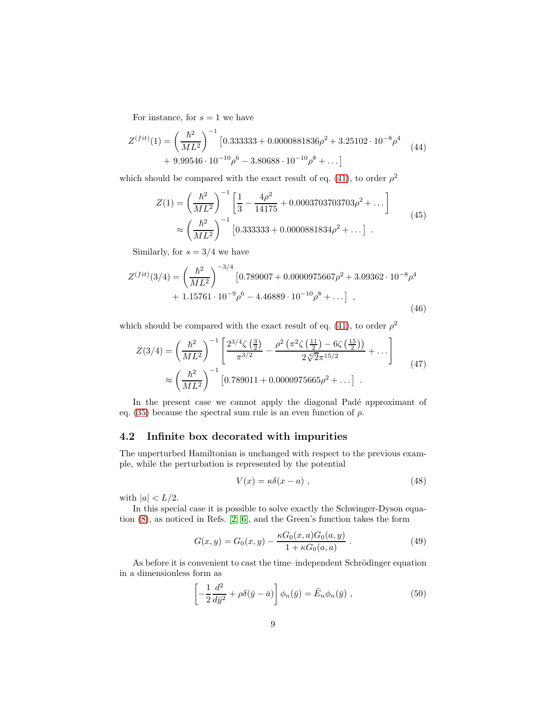For instance, for  $s = 1$  we have

$$
Z^{(fit)}(1) = \left(\frac{\hbar^2}{ML^2}\right)^{-1} \left[0.333333 + 0.0000881836\rho^2 + 3.25102 \cdot 10^{-8} \rho^4 + 9.99546 \cdot 10^{-10} \rho^6 - 3.80688 \cdot 10^{-10} \rho^8 + \dots\right]
$$
\n(44)

which should be compared with the exact result of eq. [\(41\)](#page-7-0), to order  $\rho^2$ 

$$
Z(1) = \left(\frac{\hbar^2}{ML^2}\right)^{-1} \left[\frac{1}{3} - \frac{4\rho^2}{14175} + 0.0003703703703\rho^2 + \dots\right]
$$
  

$$
\approx \left(\frac{\hbar^2}{ML^2}\right)^{-1} \left[0.333333 + 0.0000881834\rho^2 + \dots\right] \quad (45)
$$

Similarly, for  $s = 3/4$  we have

$$
Z^{(fit)}(3/4) = \left(\frac{\hbar^2}{ML^2}\right)^{-3/4} \left[0.789007 + 0.0000975667\rho^2 + 3.09362 \cdot 10^{-8}\rho^4 + 1.15761 \cdot 10^{-9}\rho^6 - 4.46889 \cdot 10^{-10}\rho^8 + \dots\right],
$$
\n(46)

which should be compared with the exact result of eq. [\(41\)](#page-7-0), to order  $\rho^2$ 

$$
Z(3/4) = \left(\frac{\hbar^2}{ML^2}\right)^{-1} \left[\frac{2^{3/4}\zeta\left(\frac{3}{2}\right)}{\pi^{3/2}} - \frac{\rho^2\left(\pi^2\zeta\left(\frac{11}{2}\right) - 6\zeta\left(\frac{15}{2}\right)\right)}{2\sqrt[4]{2}\pi^{15/2}} + \dots\right] \approx \left(\frac{\hbar^2}{ML^2}\right)^{-1} \left[0.789011 + 0.0000975665\rho^2 + \dots\right] \tag{47}
$$

In the present case we cannot apply the diagonal Padé approximant of eq. [\(35\)](#page-6-3) because the spectral sum rule is an even function of  $\rho$ .

### 4.2 Infinite box decorated with impurities

The unperturbed Hamiltonian is unchanged with respect to the previous example, while the perturbation is represented by the potential

$$
V(x) = \kappa \delta(x - a) \tag{48}
$$

with  $|a| < L/2$ .

In this special case it is possible to solve exactly the Schwinger-Dyson equation [\(8\)](#page-2-1), as noticed in Refs. [\[2,](#page-23-1) [6\]](#page-23-5), and the Green's function takes the form

$$
G(x,y) = G_0(x,y) - \frac{\kappa G_0(x,a)G_0(a,y)}{1 + \kappa G_0(a,a)}.
$$
 (49)

<span id="page-8-0"></span>As before it is convenient to cast the time–independent Schrödinger equation in a dimensionless form as

$$
\left[-\frac{1}{2}\frac{d^2}{d\bar{y}^2} + \rho \delta(\bar{y} - \bar{a})\right]\phi_n(\bar{y}) = \tilde{E}_n \phi_n(\bar{y}), \qquad (50)
$$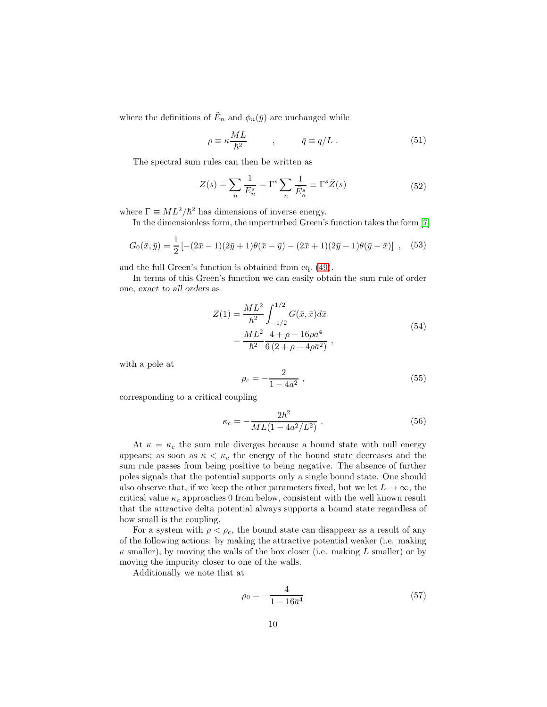where the definitions of  $\tilde{E}_n$  and  $\phi_n(\bar{y})$  are unchanged while

$$
\rho \equiv \kappa \frac{ML}{\hbar^2} \qquad , \qquad \bar{q} \equiv q/L \ . \tag{51}
$$

The spectral sum rules can then be written as

$$
Z(s) = \sum_{n} \frac{1}{E_n^s} = \Gamma^s \sum_{n} \frac{1}{\tilde{E}_n^s} \equiv \Gamma^s \bar{Z}(s)
$$
 (52)

where  $\Gamma \equiv ML^2/\hbar^2$  has dimensions of inverse energy.

In the dimensionless form, the unperturbed Green's function takes the form [\[7\]](#page-23-6)

$$
G_0(\bar{x}, \bar{y}) = \frac{1}{2} \left[ -(2\bar{x} - 1)(2\bar{y} + 1)\theta(\bar{x} - \bar{y}) - (2\bar{x} + 1)(2\bar{y} - 1)\theta(\bar{y} - \bar{x}) \right] , \quad (53)
$$

and the full Green's function is obtained from eq. [\(49\)](#page-8-0).

In terms of this Green's function we can easily obtain the sum rule of order one, exact to all orders as

$$
Z(1) = \frac{ML^2}{\hbar^2} \int_{-1/2}^{1/2} G(\bar{x}, \bar{x}) d\bar{x}
$$
  
= 
$$
\frac{ML^2}{\hbar^2} \frac{4 + \rho - 16\rho \bar{a}^4}{6(2 + \rho - 4\rho \bar{a}^2)},
$$
 (54)

<span id="page-9-1"></span>with a pole at

<span id="page-9-0"></span>
$$
\rho_c = -\frac{2}{1 - 4\bar{a}^2} \,,\tag{55}
$$

corresponding to a critical coupling

$$
\kappa_c = -\frac{2\hbar^2}{ML(1 - 4a^2/L^2)} \; . \tag{56}
$$

At  $\kappa = \kappa_c$  the sum rule diverges because a bound state with null energy appears; as soon as  $\kappa < \kappa_c$  the energy of the bound state decreases and the sum rule passes from being positive to being negative. The absence of further poles signals that the potential supports only a single bound state. One should also observe that, if we keep the other parameters fixed, but we let  $L \to \infty$ , the critical value  $\kappa_c$  approaches 0 from below, consistent with the well known result that the attractive delta potential always supports a bound state regardless of how small is the coupling.

For a system with  $\rho < \rho_c$ , the bound state can disappear as a result of any of the following actions: by making the attractive potential weaker (i.e. making  $\kappa$  smaller), by moving the walls of the box closer (i.e. making L smaller) or by moving the impurity closer to one of the walls.

Additionally we note that at

$$
\rho_0 = -\frac{4}{1 - 16\bar{a}^4} \tag{57}
$$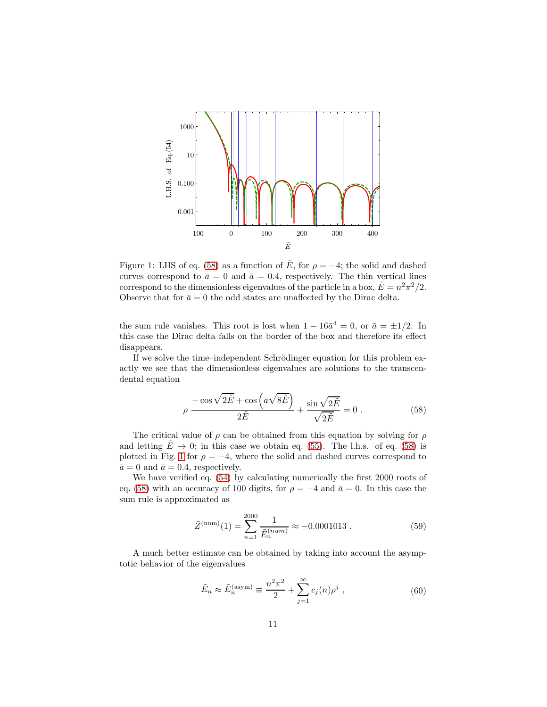

<span id="page-10-1"></span>Figure 1: LHS of eq. [\(58\)](#page-10-0) as a function of  $\tilde{E}$ , for  $\rho = -4$ ; the solid and dashed curves correspond to  $\bar{a} = 0$  and  $\bar{a} = 0.4$ , respectively. The thin vertical lines correspond to the dimensionless eigenvalues of the particle in a box,  $\tilde{E} = n^2 \pi^2 / 2$ . Observe that for  $\bar{a} = 0$  the odd states are unaffected by the Dirac delta.

the sum rule vanishes. This root is lost when  $1 - 16\bar{a}^4 = 0$ , or  $\bar{a} = \pm 1/2$ . In this case the Dirac delta falls on the border of the box and therefore its effect disappears.

If we solve the time–independent Schrödinger equation for this problem exactly we see that the dimensionless eigenvalues are solutions to the transcendental equation

<span id="page-10-0"></span>
$$
\rho \frac{-\cos\sqrt{2\tilde{E}} + \cos\left(\bar{a}\sqrt{8\tilde{E}}\right)}{2\tilde{E}} + \frac{\sin\sqrt{2\tilde{E}}}{\sqrt{2\tilde{E}}} = 0.
$$
\n(58)

The critical value of  $\rho$  can be obtained from this equation by solving for  $\rho$ and letting  $\tilde{E} \to 0$ ; in this case we obtain eq. [\(55\)](#page-9-0). The l.h.s. of eq. [\(58\)](#page-10-0) is plotted in Fig. [1](#page-10-1) for  $\rho = -4$ , where the solid and dashed curves correspond to  $\bar{a}=0$  and  $\bar{a}=0.4$ , respectively.

We have verified eq. [\(54\)](#page-9-1) by calculating numerically the first 2000 roots of eq. [\(58\)](#page-10-0) with an accuracy of 100 digits, for  $\rho = -4$  and  $\bar{a} = 0$ . In this case the sum rule is approximated as

$$
\bar{Z}^{(\text{num})}(1) = \sum_{n=1}^{2000} \frac{1}{\tilde{E}_n^{(num)}} \approx -0.0001013 . \qquad (59)
$$

A much better estimate can be obtained by taking into account the asymptotic behavior of the eigenvalues

$$
\tilde{E}_n \approx \tilde{E}_n^{\text{(asym)}} \equiv \frac{n^2 \pi^2}{2} + \sum_{j=1}^{\infty} c_j(n) \rho^j , \qquad (60)
$$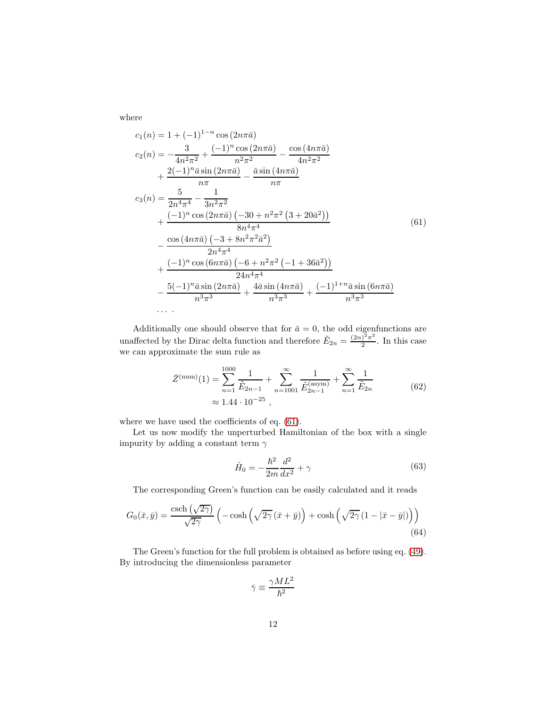where

<span id="page-11-0"></span>
$$
c_{1}(n) = 1 + (-1)^{1-n} \cos(2n\pi\bar{a})
$$
  
\n
$$
c_{2}(n) = -\frac{3}{4n^{2}\pi^{2}} + \frac{(-1)^{n} \cos(2n\pi\bar{a})}{n^{2}\pi^{2}} - \frac{\cos(4n\pi\bar{a})}{4n^{2}\pi^{2}}
$$
  
\n
$$
+ \frac{2(-1)^{n}\bar{a}\sin(2n\pi\bar{a})}{n\pi} - \frac{\bar{a}\sin(4n\pi\bar{a})}{n\pi}
$$
  
\n
$$
c_{3}(n) = \frac{5}{2n^{4}\pi^{4}} - \frac{1}{3n^{2}\pi^{2}}
$$
  
\n
$$
+ \frac{(-1)^{n}\cos(2n\pi\bar{a})(-30 + n^{2}\pi^{2}(3 + 20\bar{a}^{2}))}{8n^{4}\pi^{4}}
$$
  
\n
$$
- \frac{\cos(4n\pi\bar{a})(-3 + 8n^{2}\pi^{2}\bar{a}^{2})}{2n^{4}\pi^{4}}
$$
  
\n
$$
+ \frac{(-1)^{n}\cos(6n\pi\bar{a})(-6 + n^{2}\pi^{2}(-1 + 36\bar{a}^{2}))}{24n^{4}\pi^{4}}
$$
  
\n
$$
- \frac{5(-1)^{n}\bar{a}\sin(2n\pi\bar{a})}{n^{3}\pi^{3}} + \frac{4\bar{a}\sin(4n\pi\bar{a})}{n^{3}\pi^{3}} + \frac{(-1)^{1+n}\bar{a}\sin(6n\pi\bar{a})}{n^{3}\pi^{3}}
$$
  
\n...

Additionally one should observe that for  $\bar{a} = 0$ , the odd eigenfunctions are unaffected by the Dirac delta function and therefore  $\tilde{E}_{2n} = \frac{(2n)^2 \pi^2}{2}$  $\frac{1}{2}$ . In this case we can approximate the sum rule as

$$
\bar{Z}^{(\text{num})}(1) = \sum_{n=1}^{1000} \frac{1}{\tilde{E}_{2n-1}} + \sum_{n=1001}^{\infty} \frac{1}{\tilde{E}_{2n-1}^{(\text{asym})}} + \sum_{n=1}^{\infty} \frac{1}{\tilde{E}_{2n}}
$$
\n
$$
\approx 1.44 \cdot 10^{-25},
$$
\n(62)

where we have used the coefficients of eq. [\(61\)](#page-11-0).

Let us now modify the unperturbed Hamiltonian of the box with a single impurity by adding a constant term  $\gamma$ 

$$
\hat{H}_0 = -\frac{\hbar^2}{2m}\frac{d^2}{dx^2} + \gamma
$$
\n(63)

The corresponding Green's function can be easily calculated and it reads

$$
G_0(\bar{x}, \bar{y}) = \frac{\operatorname{csch}\left(\sqrt{2\gamma}\right)}{\sqrt{2\gamma}} \left(-\cosh\left(\sqrt{2\gamma}(\bar{x} + \bar{y})\right) + \cosh\left(\sqrt{2\gamma} (1 - |\bar{x} - \bar{y}|)\right)\right)
$$
\n(64)

The Green's function for the full problem is obtained as before using eq. [\(49\)](#page-8-0). By introducing the dimensionless parameter

$$
\bar{\gamma}\equiv\frac{\gamma M L^2}{\hbar^2}
$$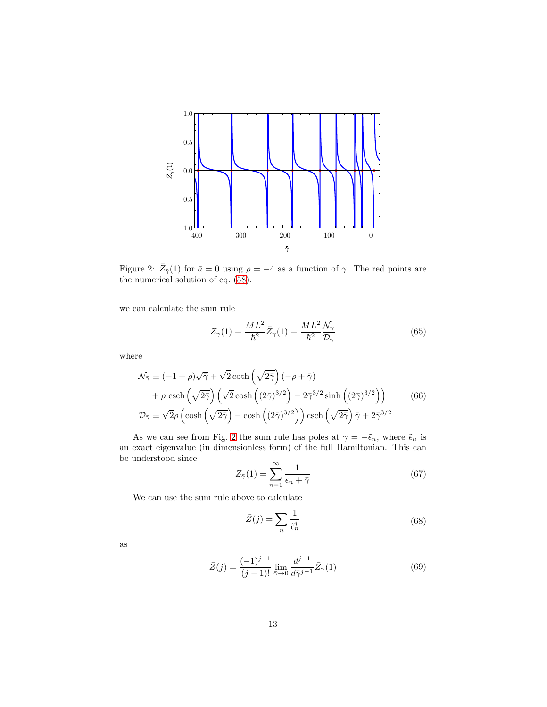

<span id="page-12-0"></span>Figure 2:  $\bar{Z}_{\bar{\gamma}}(1)$  for  $\bar{a} = 0$  using  $\rho = -4$  as a function of  $\gamma$ . The red points are the numerical solution of eq. [\(58\)](#page-10-0).

we can calculate the sum rule

$$
Z_{\bar{\gamma}}(1) = \frac{ML^2}{\hbar^2} \bar{Z}_{\bar{\gamma}}(1) = \frac{ML^2}{\hbar^2} \frac{\mathcal{N}_{\bar{\gamma}}}{\mathcal{D}_{\bar{\gamma}}} \tag{65}
$$

where

$$
\mathcal{N}_{\bar{\gamma}} \equiv (-1+\rho)\sqrt{\bar{\gamma}} + \sqrt{2}\coth\left(\sqrt{2\bar{\gamma}}\right)(-\rho+\bar{\gamma})
$$
  
+  $\rho \operatorname{csch}\left(\sqrt{2\bar{\gamma}}\right)\left(\sqrt{2}\cosh\left((2\bar{\gamma})^{3/2}\right) - 2\bar{\gamma}^{3/2}\sinh\left((2\bar{\gamma})^{3/2}\right)\right)$  (66)  

$$
\mathcal{D}_{\bar{\gamma}} \equiv \sqrt{2}\rho\left(\cosh\left(\sqrt{2\bar{\gamma}}\right) - \cosh\left((2\bar{\gamma})^{3/2}\right)\right)\operatorname{csch}\left(\sqrt{2\bar{\gamma}}\right)\bar{\gamma} + 2\bar{\gamma}^{3/2}
$$

As we can see from Fig. [2](#page-12-0) the sum rule has poles at  $\gamma = -\tilde{\epsilon}_n$ , where  $\tilde{\epsilon}_n$  is an exact eigenvalue (in dimensionless form) of the full Hamiltonian. This can be understood since

$$
\bar{Z}_{\bar{\gamma}}(1) = \sum_{n=1}^{\infty} \frac{1}{\tilde{\epsilon}_n + \bar{\gamma}}
$$
\n(67)

We can use the sum rule above to calculate

$$
\bar{Z}(j) = \sum_{n} \frac{1}{\tilde{\epsilon}_n^j} \tag{68}
$$

as

$$
\bar{Z}(j) = \frac{(-1)^{j-1}}{(j-1)!} \lim_{\bar{\gamma} \to 0} \frac{d^{j-1}}{d\bar{\gamma}^{j-1}} \bar{Z}_{\bar{\gamma}}(1)
$$
(69)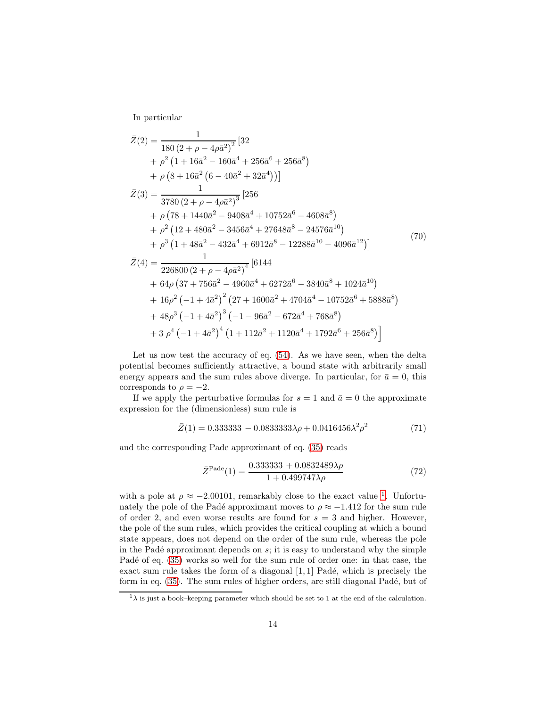In particular

$$
\bar{Z}(2) = \frac{1}{180 (2 + \rho - 4\rho \bar{a}^2)^2} [32
$$
\n
$$
+ \rho^2 (1 + 16\bar{a}^2 - 160\bar{a}^4 + 256\bar{a}^6 + 256\bar{a}^8)
$$
\n
$$
+ \rho (8 + 16\bar{a}^2 (6 - 40\bar{a}^2 + 32\bar{a}^4))]
$$
\n
$$
\bar{Z}(3) = \frac{1}{3780 (2 + \rho - 4\rho \bar{a}^2)^3} [256
$$
\n
$$
+ \rho (78 + 1440\bar{a}^2 - 9408\bar{a}^4 + 10752\bar{a}^6 - 4608\bar{a}^8)
$$
\n
$$
+ \rho^2 (12 + 480\bar{a}^2 - 3456\bar{a}^4 + 27648\bar{a}^8 - 24576\bar{a}^{10})
$$
\n
$$
+ \rho^3 (1 + 48\bar{a}^2 - 432\bar{a}^4 + 6912\bar{a}^8 - 12288\bar{a}^{10} - 4096\bar{a}^{12})]
$$
\n
$$
\bar{Z}(4) = \frac{1}{226800 (2 + \rho - 4\rho \bar{a}^2)^4} [6144
$$
\n
$$
+ 64\rho (37 + 756\bar{a}^2 - 4960\bar{a}^4 + 6272\bar{a}^6 - 3840\bar{a}^8 + 1024\bar{a}^{10})
$$
\n
$$
+ 16\rho^2 (-1 + 4\bar{a}^2)^2 (27 + 1600\bar{a}^2 + 4704\bar{a}^4 - 10752\bar{a}^6 + 5888\bar{a}^8)
$$
\n
$$
+ 48\rho^3 (-1 + 4\bar{a}^2)^3 (-1 - 96\bar{a}^2 - 672\bar{a}^4 + 768\bar{a}^8)
$$
\n
$$
+ 3 \rho^4 (-1 + 4\bar{a}^2)^4 (1 +
$$

Let us now test the accuracy of eq.  $(54)$ . As we have seen, when the delta potential becomes sufficiently attractive, a bound state with arbitrarily small energy appears and the sum rules above diverge. In particular, for  $\bar{a} = 0$ , this corresponds to  $\rho = -2$ .

If we apply the perturbative formulas for  $s = 1$  and  $\bar{a} = 0$  the approximate expression for the (dimensionless) sum rule is

$$
\bar{Z}(1) = 0.333333 - 0.0833333\lambda\rho + 0.0416456\lambda^2\rho^2 \tag{71}
$$

and the corresponding Pade approximant of eq. [\(35\)](#page-6-3) reads

$$
\bar{Z}^{\text{Pade}}(1) = \frac{0.333333 + 0.0832489\lambda\rho}{1 + 0.499747\lambda\rho}
$$
\n(72)

with a pole at  $\rho \approx -2.00101$  $\rho \approx -2.00101$  $\rho \approx -2.00101$ , remarkably close to the exact value <sup>1</sup>. Unfortunately the pole of the Padé approximant moves to  $\rho \approx -1.412$  for the sum rule of order 2, and even worse results are found for  $s = 3$  and higher. However, the pole of the sum rules, which provides the critical coupling at which a bound state appears, does not depend on the order of the sum rule, whereas the pole in the Padé approximant depends on  $s$ ; it is easy to understand why the simple Padé of eq. [\(35\)](#page-6-3) works so well for the sum rule of order one: in that case, the exact sum rule takes the form of a diagonal  $[1, 1]$  Padé, which is precisely the form in eq. [\(35\)](#page-6-3). The sum rules of higher orders, are still diagonal Padé, but of

<span id="page-13-0"></span> $1\lambda$  is just a book–keeping parameter which should be set to 1 at the end of the calculation.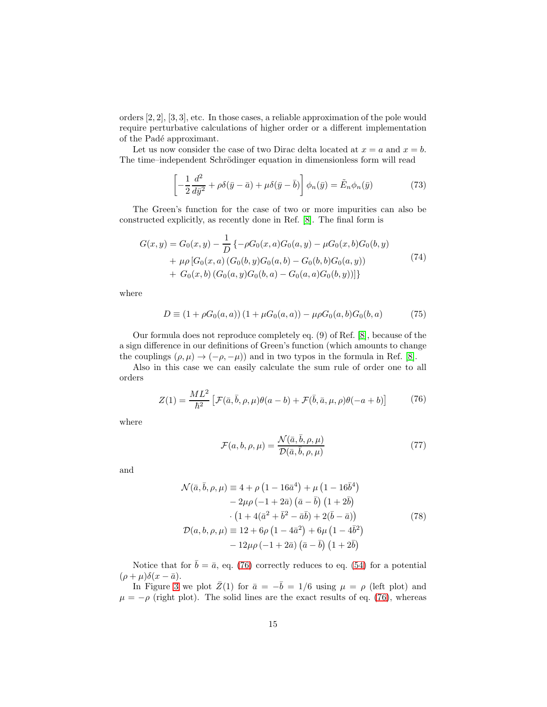orders [2, 2], [3, 3], etc. In those cases, a reliable approximation of the pole would require perturbative calculations of higher order or a different implementation of the Padé approximant.

Let us now consider the case of two Dirac delta located at  $x = a$  and  $x = b$ . The time–independent Schrödinger equation in dimensionless form will read

$$
\left[ -\frac{1}{2} \frac{d^2}{d\bar{y}^2} + \rho \delta(\bar{y} - \bar{a}) + \mu \delta(\bar{y} - \bar{b}) \right] \phi_n(\bar{y}) = \tilde{E}_n \phi_n(\bar{y}) \tag{73}
$$

The Green's function for the case of two or more impurities can also be constructed explicitly, as recently done in Ref. [\[8\]](#page-23-7). The final form is

$$
G(x,y) = G_0(x,y) - \frac{1}{D} \{-\rho G_0(x,a)G_0(a,y) - \mu G_0(x,b)G_0(b,y) + \mu \rho [G_0(x,a) (G_0(b,y)G_0(a,b) - G_0(b,b)G_0(a,y)) + G_0(x,b) (G_0(a,y)G_0(b,a) - G_0(a,a)G_0(b,y))]\}
$$
\n(74)

where

$$
D \equiv (1 + \rho G_0(a, a)) (1 + \mu G_0(a, a)) - \mu \rho G_0(a, b) G_0(b, a)
$$
 (75)

Our formula does not reproduce completely eq. (9) of Ref. [\[8\]](#page-23-7), because of the a sign difference in our definitions of Green's function (which amounts to change the couplings  $(\rho, \mu) \rightarrow (-\rho, -\mu)$  and in two typos in the formula in Ref. [\[8\]](#page-23-7).

Also in this case we can easily calculate the sum rule of order one to all orders

$$
Z(1) = \frac{ML^2}{\hbar^2} \left[ \mathcal{F}(\bar{a}, \bar{b}, \rho, \mu) \theta(a - b) + \mathcal{F}(\bar{b}, \bar{a}, \mu, \rho) \theta(-a + b) \right]
$$
(76)

<span id="page-14-0"></span>where

$$
\mathcal{F}(a,b,\rho,\mu) = \frac{\mathcal{N}(\bar{a},\bar{b},\rho,\mu)}{\mathcal{D}(\bar{a},\bar{b},\rho,\mu)}
$$
(77)

and

$$
\mathcal{N}(\bar{a}, \bar{b}, \rho, \mu) \equiv 4 + \rho \left( 1 - 16\bar{a}^4 \right) + \mu \left( 1 - 16\bar{b}^4 \right) \n- 2\mu \rho \left( -1 + 2\bar{a} \right) (\bar{a} - \bar{b}) \left( 1 + 2\bar{b} \right) \n\cdot \left( 1 + 4(\bar{a}^2 + \bar{b}^2 - \bar{a}\bar{b}) + 2(\bar{b} - \bar{a}) \right) \n\mathcal{D}(a, b, \rho, \mu) \equiv 12 + 6\rho \left( 1 - 4\bar{a}^2 \right) + 6\mu \left( 1 - 4\bar{b}^2 \right) \n- 12\mu \rho \left( -1 + 2\bar{a} \right) (\bar{a} - \bar{b}) \left( 1 + 2\bar{b} \right)
$$
\n(78)

Notice that for  $\bar{b} = \bar{a}$ , eq. [\(76\)](#page-14-0) correctly reduces to eq. [\(54\)](#page-9-1) for a potential  $(\rho + \mu)\delta(x - \bar{a}).$ 

In Figure [3](#page-15-0) we plot  $\bar{Z}(1)$  for  $\bar{a} = -\bar{b} = 1/6$  using  $\mu = \rho$  (left plot) and  $\mu = -\rho$  (right plot). The solid lines are the exact results of eq. [\(76\)](#page-14-0), whereas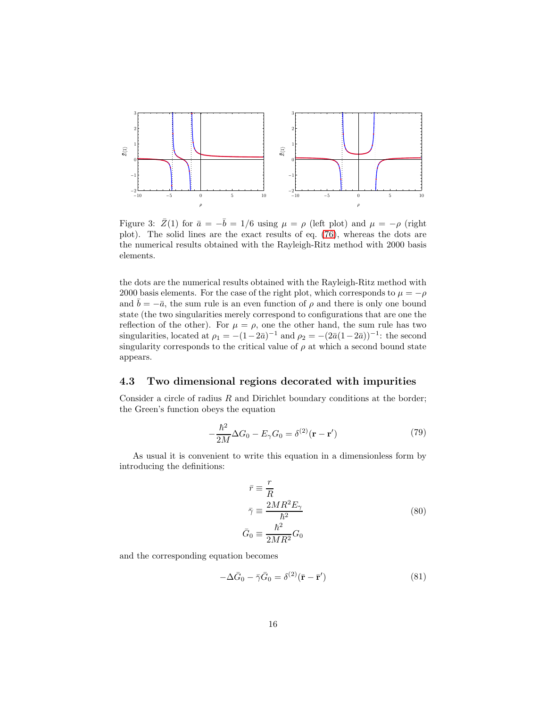

<span id="page-15-0"></span>Figure 3:  $\bar{Z}(1)$  for  $\bar{a} = -\bar{b} = 1/6$  using  $\mu = \rho$  (left plot) and  $\mu = -\rho$  (right plot). The solid lines are the exact results of eq. [\(76\)](#page-14-0), whereas the dots are the numerical results obtained with the Rayleigh-Ritz method with 2000 basis elements.

the dots are the numerical results obtained with the Rayleigh-Ritz method with 2000 basis elements. For the case of the right plot, which corresponds to  $\mu = -\rho$ and  $\overline{b} = -\overline{a}$ , the sum rule is an even function of  $\rho$  and there is only one bound state (the two singularities merely correspond to configurations that are one the reflection of the other). For  $\mu = \rho$ , one the other hand, the sum rule has two singularities, located at  $\rho_1 = -(1-2\bar{a})^{-1}$  and  $\rho_2 = -(2\bar{a}(1-2\bar{a}))^{-1}$ : the second singularity corresponds to the critical value of  $\rho$  at which a second bound state appears.

#### 4.3 Two dimensional regions decorated with impurities

Consider a circle of radius  $R$  and Dirichlet boundary conditions at the border; the Green's function obeys the equation

$$
-\frac{\hbar^2}{2M}\Delta G_0 - E_\gamma G_0 = \delta^{(2)}(\mathbf{r} - \mathbf{r}')
$$
\n(79)

As usual it is convenient to write this equation in a dimensionless form by introducing the definitions:

$$
\begin{aligned}\n\bar{r} &\equiv \frac{r}{R} \\
\bar{\gamma} &\equiv \frac{2MR^2E_{\gamma}}{\hbar^2} \\
\bar{G}_0 &\equiv \frac{\hbar^2}{2MR^2}G_0\n\end{aligned} \tag{80}
$$

and the corresponding equation becomes

$$
-\Delta\bar{G}_0 - \bar{\gamma}\bar{G}_0 = \delta^{(2)}(\bar{\mathbf{r}} - \bar{\mathbf{r}}')\tag{81}
$$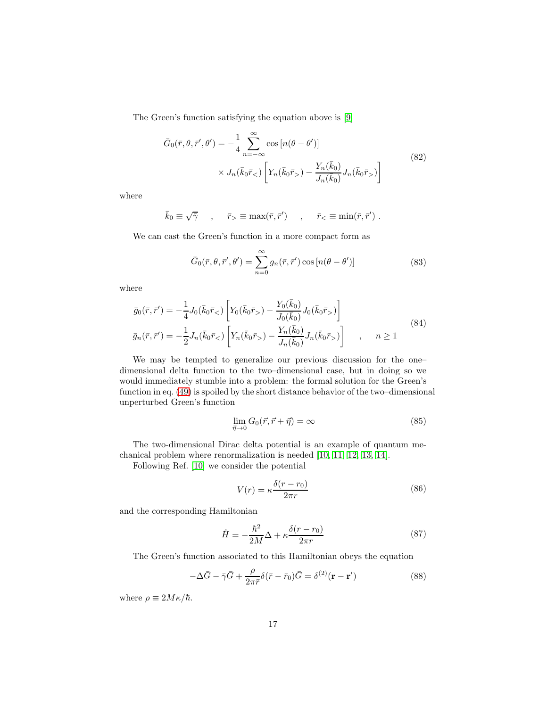The Green's function satisfying the equation above is [\[9\]](#page-23-8)

$$
\bar{G}_0(\bar{r}, \theta, \bar{r}', \theta') = -\frac{1}{4} \sum_{n=-\infty}^{\infty} \cos\left[n(\theta - \theta')\right] \times J_n(\bar{k}_0 \bar{r}_>) \left[Y_n(\bar{k}_0 \bar{r}_>) - \frac{Y_n(\bar{k}_0)}{J_n(\bar{k}_0)} J_n(\bar{k}_0 \bar{r}_>)\right]
$$
\n(82)

where

$$
\bar{k}_0 \equiv \sqrt{\bar{\gamma}}
$$
,  $\bar{r}_{>} \equiv \max(\bar{r}, \bar{r}')$ ,  $\bar{r}_{<} \equiv \min(\bar{r}, \bar{r}')$ .

We can cast the Green's function in a more compact form as

$$
\bar{G}_0(\bar{r}, \theta, \bar{r}', \theta') = \sum_{n=0}^{\infty} g_n(\bar{r}, \bar{r}') \cos\left[n(\theta - \theta')\right]
$$
\n(83)

where

$$
\bar{g}_0(\bar{r}, \bar{r}') = -\frac{1}{4} J_0(\bar{k}_0 \bar{r}_<) \left[ Y_0(\bar{k}_0 \bar{r}_>) - \frac{Y_0(\bar{k}_0)}{J_0(\bar{k}_0)} J_0(\bar{k}_0 \bar{r}_>) \right]
$$
\n
$$
\bar{g}_n(\bar{r}, \bar{r}') = -\frac{1}{2} J_n(\bar{k}_0 \bar{r}_<) \left[ Y_n(\bar{k}_0 \bar{r}_>) - \frac{Y_n(\bar{k}_0)}{J_n(\bar{k}_0)} J_n(\bar{k}_0 \bar{r}_>) \right] , \quad n \ge 1
$$
\n(84)

We may be tempted to generalize our previous discussion for the one– dimensional delta function to the two–dimensional case, but in doing so we would immediately stumble into a problem: the formal solution for the Green's function in eq. [\(49\)](#page-8-0) is spoiled by the short distance behavior of the two–dimensional unperturbed Green's function

$$
\lim_{\vec{\eta}\to 0} G_0(\vec{r}, \vec{r} + \vec{\eta}) = \infty \tag{85}
$$

The two-dimensional Dirac delta potential is an example of quantum mechanical problem where renormalization is needed [\[10,](#page-23-9) [11,](#page-23-10) [12,](#page-23-11) [13,](#page-24-0) [14\]](#page-24-1).

Following Ref. [\[10\]](#page-23-9) we consider the potential

$$
V(r) = \kappa \frac{\delta(r - r_0)}{2\pi r}
$$
\n(86)

and the corresponding Hamiltonian

$$
\hat{H} = -\frac{\hbar^2}{2M}\Delta + \kappa \frac{\delta(r - r_0)}{2\pi r}
$$
\n(87)

The Green's function associated to this Hamiltonian obeys the equation

$$
-\Delta\bar{G} - \bar{\gamma}\bar{G} + \frac{\rho}{2\pi\bar{r}}\delta(\bar{r} - \bar{r}_0)\bar{G} = \delta^{(2)}(\mathbf{r} - \mathbf{r}')
$$
\n(88)

where  $\rho \equiv 2M\kappa/\hbar$ .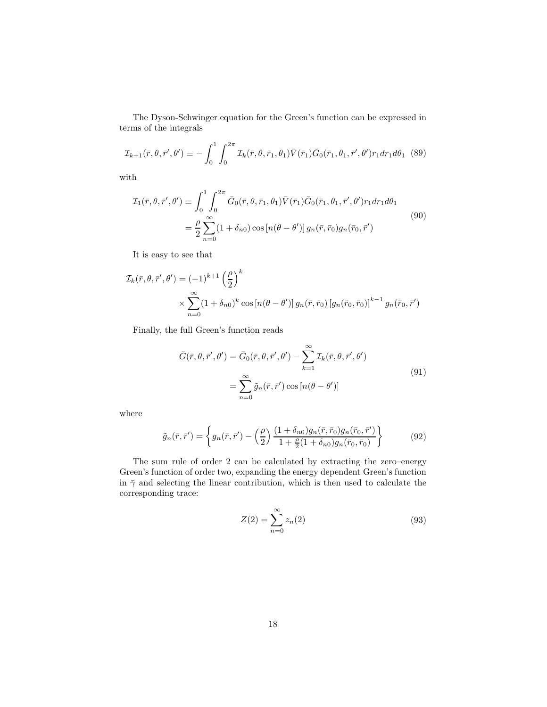The Dyson-Schwinger equation for the Green's function can be expressed in terms of the integrals

$$
\mathcal{I}_{k+1}(\bar{r}, \theta, \bar{r}', \theta') \equiv -\int_0^1 \int_0^{2\pi} \mathcal{I}_k(\bar{r}, \theta, \bar{r}_1, \theta_1) \bar{V}(\bar{r}_1) \bar{G}_0(\bar{r}_1, \theta_1, \bar{r}', \theta') r_1 dr_1 d\theta_1
$$
 (89)

with

$$
\mathcal{I}_{1}(\bar{r},\theta,\bar{r}',\theta') \equiv \int_{0}^{1} \int_{0}^{2\pi} \bar{G}_{0}(\bar{r},\theta,\bar{r}_{1},\theta_{1}) \bar{V}(\bar{r}_{1}) \bar{G}_{0}(\bar{r}_{1},\theta_{1},\bar{r}',\theta') r_{1} dr_{1} d\theta_{1}
$$
\n
$$
= \frac{\rho}{2} \sum_{n=0}^{\infty} (1 + \delta_{n0}) \cos\left[n(\theta - \theta')\right] g_{n}(\bar{r},\bar{r}_{0}) g_{n}(\bar{r}_{0},\bar{r}')
$$
\n(90)

It is easy to see that

$$
\mathcal{I}_k(\bar{r}, \theta, \bar{r}', \theta') = (-1)^{k+1} \left(\frac{\rho}{2}\right)^k
$$
  
 
$$
\times \sum_{n=0}^{\infty} (1 + \delta_{n0})^k \cos\left[n(\theta - \theta')\right] g_n(\bar{r}, \bar{r}_0) \left[g_n(\bar{r}_0, \bar{r}_0)\right]^{k-1} g_n(\bar{r}_0, \bar{r}')
$$

Finally, the full Green's function reads

$$
\bar{G}(\bar{r}, \theta, \bar{r}', \theta') = \bar{G}_0(\bar{r}, \theta, \bar{r}', \theta') - \sum_{k=1}^{\infty} \mathcal{I}_k(\bar{r}, \theta, \bar{r}', \theta')
$$

$$
= \sum_{n=0}^{\infty} \tilde{g}_n(\bar{r}, \bar{r}') \cos\left[n(\theta - \theta')\right]
$$
(91)

where

$$
\tilde{g}_n(\bar{r}, \bar{r}') = \left\{ g_n(\bar{r}, \bar{r}') - \left(\frac{\rho}{2}\right) \frac{(1 + \delta_{n0})g_n(\bar{r}, \bar{r}_0)g_n(\bar{r}_0, \bar{r}')}{1 + \frac{\rho}{2}(1 + \delta_{n0})g_n(\bar{r}_0, \bar{r}_0)} \right\}
$$
(92)

The sum rule of order 2 can be calculated by extracting the zero–energy Green's function of order two, expanding the energy dependent Green's function in  $\bar{\gamma}$  and selecting the linear contribution, which is then used to calculate the corresponding trace:

$$
Z(2) = \sum_{n=0}^{\infty} z_n(2)
$$
\n(93)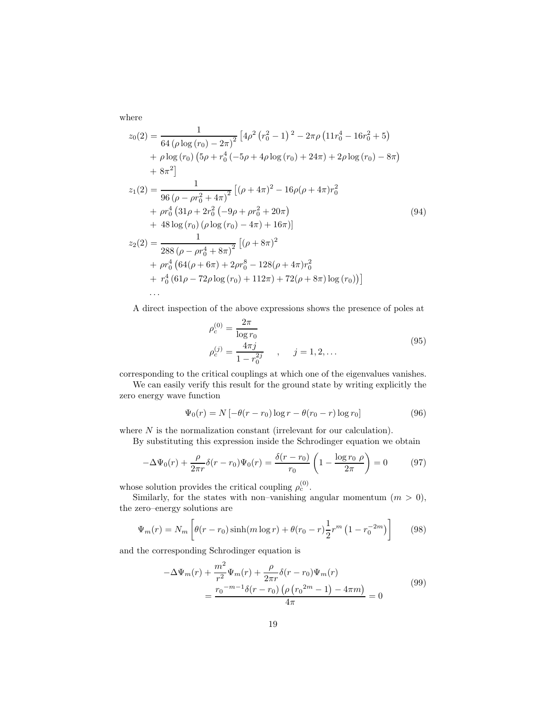where

$$
z_0(2) = \frac{1}{64 (\rho \log (r_0) - 2\pi)^2} \left[ 4\rho^2 (r_0^2 - 1)^2 - 2\pi \rho (11r_0^4 - 16r_0^2 + 5) + \rho \log (r_0) (5\rho + r_0^4 (-5\rho + 4\rho \log (r_0) + 24\pi) + 2\rho \log (r_0) - 8\pi \right) + 8\pi^2 \right]
$$
  

$$
z_1(2) = \frac{1}{96 (\rho - \rho r_0^2 + 4\pi)^2} \left[ (\rho + 4\pi)^2 - 16\rho (\rho + 4\pi) r_0^2 + \rho r_0^4 (31\rho + 2r_0^2 (-9\rho + \rho r_0^2 + 20\pi) + 48 \log (r_0) (\rho \log (r_0) - 4\pi) + 16\pi) \right]
$$
  

$$
z_2(2) = \frac{1}{288 (\rho - \rho r_0^4 + 8\pi)^2} \left[ (\rho + 8\pi)^2 + \rho r_0^4 (64(\rho + 6\pi) + 2\rho r_0^8 - 128(\rho + 4\pi) r_0^2 + r_0^4 (64(\rho - 72\rho \log (r_0) + 112\pi) + 72(\rho + 8\pi) \log (r_0)) \right]
$$
  
...

A direct inspection of the above expressions shows the presence of poles at

$$
\rho_c^{(0)} = \frac{2\pi}{\log r_0} \n\rho_c^{(j)} = \frac{4\pi j}{1 - r_0^{2j}} , \quad j = 1, 2, ...
$$
\n(95)

corresponding to the critical couplings at which one of the eigenvalues vanishes.

We can easily verify this result for the ground state by writing explicitly the zero energy wave function

$$
\Psi_0(r) = N \left[ -\theta(r - r_0) \log r - \theta(r_0 - r) \log r_0 \right]
$$
\n(96)

where  $N$  is the normalization constant (irrelevant for our calculation).

By substituting this expression inside the Schrodinger equation we obtain

$$
-\Delta\Psi_0(r) + \frac{\rho}{2\pi r}\delta(r - r_0)\Psi_0(r) = \frac{\delta(r - r_0)}{r_0} \left(1 - \frac{\log r_0 \rho}{2\pi}\right) = 0 \tag{97}
$$

whose solution provides the critical coupling  $\rho_c^{(0)}$ .

Similarly, for the states with non–vanishing angular momentum  $(m > 0)$ , the zero–energy solutions are

$$
\Psi_m(r) = N_m \left[ \theta(r - r_0) \sinh(m \log r) + \theta(r_0 - r) \frac{1}{2} r^m \left( 1 - r_0^{-2m} \right) \right]
$$
(98)

and the corresponding Schrodinger equation is

$$
-\Delta\Psi_m(r) + \frac{m^2}{r^2}\Psi_m(r) + \frac{\rho}{2\pi r}\delta(r - r_0)\Psi_m(r)
$$
  
= 
$$
\frac{r_0^{-m-1}\delta(r - r_0)\left(\rho\left(r_0^{-2m} - 1\right) - 4\pi m\right)}{4\pi} = 0
$$
 (99)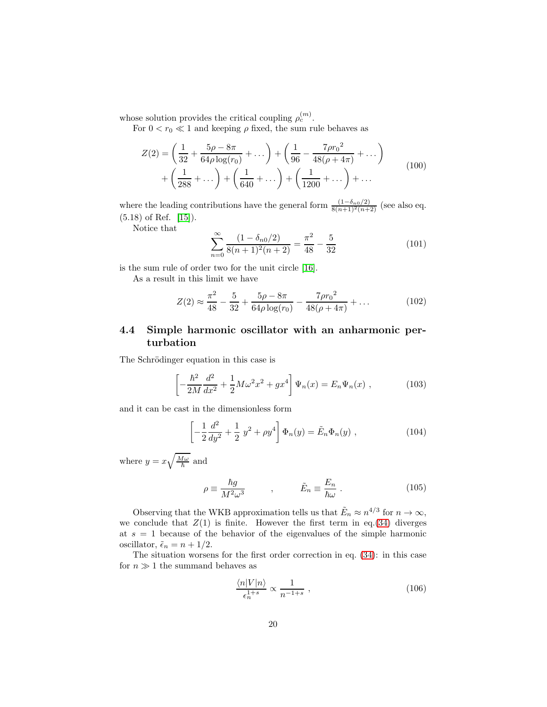whose solution provides the critical coupling  $\rho_c^{(m)}$ .

For  $0 < r_0 \ll 1$  and keeping  $\rho$  fixed, the sum rule behaves as

$$
Z(2) = \left(\frac{1}{32} + \frac{5\rho - 8\pi}{64\rho \log(r_0)} + \dots\right) + \left(\frac{1}{96} - \frac{7\rho r_0^2}{48(\rho + 4\pi)} + \dots\right) + \left(\frac{1}{288} + \dots\right) + \left(\frac{1}{640} + \dots\right) + \left(\frac{1}{1200} + \dots\right) + \dots
$$
\n(100)

where the leading contributions have the general form  $\frac{(1-\delta_{n0}/2)}{8(n+1)^2(n+2)}$  (see also eq. (5.18) of Ref. [\[15\]](#page-24-2)).

Notice that

$$
\sum_{n=0}^{\infty} \frac{(1 - \delta_{n0}/2)}{8(n+1)^2(n+2)} = \frac{\pi^2}{48} - \frac{5}{32}
$$
 (101)

is the sum rule of order two for the unit circle [\[16\]](#page-24-3).

As a result in this limit we have

$$
Z(2) \approx \frac{\pi^2}{48} - \frac{5}{32} + \frac{5\rho - 8\pi}{64\rho \log(r_0)} - \frac{7\rho r_0^2}{48(\rho + 4\pi)} + \dots
$$
 (102)

## 4.4 Simple harmonic oscillator with an anharmonic perturbation

The Schrödinger equation in this case is

$$
\left[ -\frac{\hbar^2}{2M} \frac{d^2}{dx^2} + \frac{1}{2} M \omega^2 x^2 + g x^4 \right] \Psi_n(x) = E_n \Psi_n(x) , \qquad (103)
$$

and it can be cast in the dimensionless form

$$
\left[ -\frac{1}{2} \frac{d^2}{dy^2} + \frac{1}{2} y^2 + \rho y^4 \right] \Phi_n(y) = \tilde{E}_n \Phi_n(y) , \qquad (104)
$$

where  $y = x\sqrt{\frac{M\omega}{\hbar}}$  and

$$
\rho \equiv \frac{\hbar g}{M^2 \omega^3} \qquad , \qquad \tilde{E}_n \equiv \frac{E_n}{\hbar \omega} \ . \tag{105}
$$

Observing that the WKB approximation tells us that  $\tilde{E}_n \approx n^{4/3}$  for  $n \to \infty$ , we conclude that  $Z(1)$  is finite. However the first term in eq.[\(34\)](#page-6-1) diverges at  $s = 1$  because of the behavior of the eigenvalues of the simple harmonic oscillator,  $\tilde{\epsilon}_n = n + 1/2$ .

The situation worsens for the first order correction in eq. [\(34\)](#page-6-1): in this case for  $n \gg 1$  the summand behaves as

$$
\frac{\langle n|V|n\rangle}{\epsilon_n^{1+s}} \propto \frac{1}{n^{-1+s}} \,,\tag{106}
$$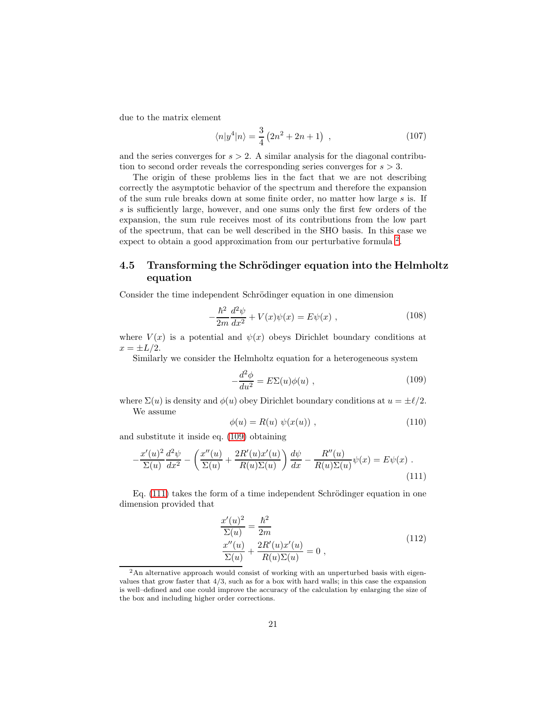due to the matrix element

$$
\langle n|y^4|n\rangle = \frac{3}{4}(2n^2 + 2n + 1) , \qquad (107)
$$

and the series converges for  $s > 2$ . A similar analysis for the diagonal contribution to second order reveals the corresponding series converges for  $s > 3$ .

The origin of these problems lies in the fact that we are not describing correctly the asymptotic behavior of the spectrum and therefore the expansion of the sum rule breaks down at some finite order, no matter how large s is. If s is sufficiently large, however, and one sums only the first few orders of the expansion, the sum rule receives most of its contributions from the low part of the spectrum, that can be well described in the SHO basis. In this case we expect to obtain a good approximation from our perturbative formula <sup>[2](#page-20-0)</sup>.

### 4.5 Transforming the Schrödinger equation into the Helmholtz equation

Consider the time independent Schrödinger equation in one dimension

$$
-\frac{\hbar^2}{2m}\frac{d^2\psi}{dx^2} + V(x)\psi(x) = E\psi(x) , \qquad (108)
$$

where  $V(x)$  is a potential and  $\psi(x)$  obeys Dirichlet boundary conditions at  $x = \pm L/2$ .

Similarly we consider the Helmholtz equation for a heterogeneous system

$$
-\frac{d^2\phi}{du^2} = E\Sigma(u)\phi(u) , \qquad (109)
$$

<span id="page-20-1"></span>where  $\Sigma(u)$  is density and  $\phi(u)$  obey Dirichlet boundary conditions at  $u = \pm \ell/2$ . We assume

$$
\phi(u) = R(u) \psi(x(u)), \qquad (110)
$$

and substitute it inside eq. [\(109\)](#page-20-1) obtaining

<span id="page-20-2"></span>
$$
-\frac{x'(u)^2}{\Sigma(u)}\frac{d^2\psi}{dx^2} - \left(\frac{x''(u)}{\Sigma(u)} + \frac{2R'(u)x'(u)}{R(u)\Sigma(u)}\right)\frac{d\psi}{dx} - \frac{R''(u)}{R(u)\Sigma(u)}\psi(x) = E\psi(x) \tag{111}
$$

Eq.  $(111)$  takes the form of a time independent Schrödinger equation in one dimension provided that

$$
\frac{x'(u)^2}{\Sigma(u)} = \frac{\hbar^2}{2m} \n\frac{x''(u)}{\Sigma(u)} + \frac{2R'(u)x'(u)}{R(u)\Sigma(u)} = 0,
$$
\n(112)

<span id="page-20-0"></span><sup>&</sup>lt;sup>2</sup>An alternative approach would consist of working with an unperturbed basis with eigenvalues that grow faster that  $4/3$ , such as for a box with hard walls; in this case the expansion is well–defined and one could improve the accuracy of the calculation by enlarging the size of the box and including higher order corrections.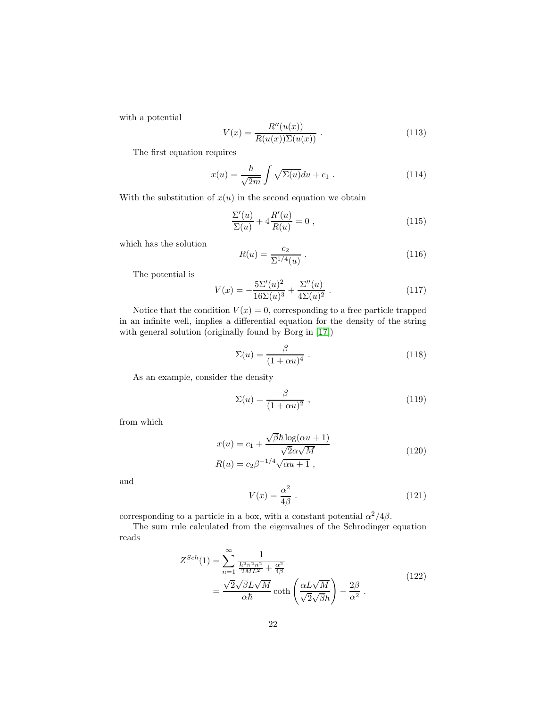with a potential

$$
V(x) = \frac{R''(u(x))}{R(u(x))\Sigma(u(x))}.
$$
\n(113)

The first equation requires

$$
x(u) = \frac{\hbar}{\sqrt{2m}} \int \sqrt{\Sigma(u)} du + c_1 . \qquad (114)
$$

With the substitution of  $x(u)$  in the second equation we obtain

$$
\frac{\Sigma'(u)}{\Sigma(u)} + 4\frac{R'(u)}{R(u)} = 0 ,
$$
\n(115)

which has the solution

$$
R(u) = \frac{c_2}{\Sigma^{1/4}(u)} \ . \tag{116}
$$

The potential is

$$
V(x) = -\frac{5\Sigma'(u)^2}{16\Sigma(u)^3} + \frac{\Sigma''(u)}{4\Sigma(u)^2}.
$$
 (117)

Notice that the condition  $V(x) = 0$ , corresponding to a free particle trapped in an infinite well, implies a differential equation for the density of the string with general solution (originally found by Borg in [\[17\]](#page-24-4))

$$
\Sigma(u) = \frac{\beta}{(1 + \alpha u)^4} \tag{118}
$$

As an example, consider the density

$$
\Sigma(u) = \frac{\beta}{(1 + \alpha u)^2} \,, \tag{119}
$$

from which

$$
x(u) = c_1 + \frac{\sqrt{\beta \hbar} \log(\alpha u + 1)}{\sqrt{2}\alpha \sqrt{M}}
$$
  
\n
$$
R(u) = c_2 \beta^{-1/4} \sqrt{\alpha u + 1},
$$
\n(120)

and

$$
V(x) = \frac{\alpha^2}{4\beta} \,. \tag{121}
$$

corresponding to a particle in a box, with a constant potential  $\alpha^2/4\beta$ .

The sum rule calculated from the eigenvalues of the Schrodinger equation reads

$$
Z^{Sch}(1) = \sum_{n=1}^{\infty} \frac{1}{\frac{\hbar^2 \pi^2 n^2}{2ML^2} + \frac{\alpha^2}{4\beta}} = \frac{\sqrt{2}\sqrt{\beta}L\sqrt{M}}{\alpha\hbar} \coth\left(\frac{\alpha L\sqrt{M}}{\sqrt{2}\sqrt{\beta}\hbar}\right) - \frac{2\beta}{\alpha^2}.
$$
\n(122)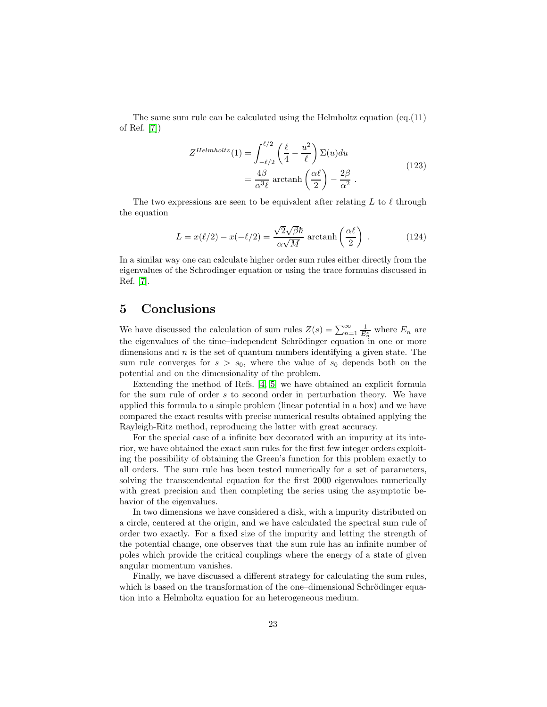The same sum rule can be calculated using the Helmholtz equation (eq.  $(11)$ ) of Ref. [\[7\]](#page-23-6))

$$
Z^{Helmholtz}(1) = \int_{-\ell/2}^{\ell/2} \left(\frac{\ell}{4} - \frac{u^2}{\ell}\right) \Sigma(u) du
$$
  
=  $\frac{4\beta}{\alpha^3 \ell}$  arctanh $\left(\frac{\alpha \ell}{2}\right) - \frac{2\beta}{\alpha^2}$ . (123)

The two expressions are seen to be equivalent after relating L to  $\ell$  through the equation

$$
L = x(\ell/2) - x(-\ell/2) = \frac{\sqrt{2}\sqrt{\beta}\hbar}{\alpha\sqrt{M}} \operatorname{arctanh}\left(\frac{\alpha\ell}{2}\right) . \tag{124}
$$

In a similar way one can calculate higher order sum rules either directly from the eigenvalues of the Schrodinger equation or using the trace formulas discussed in Ref. [\[7\]](#page-23-6).

## <span id="page-22-0"></span>5 Conclusions

We have discussed the calculation of sum rules  $Z(s) = \sum_{n=1}^{\infty} \frac{1}{E_n^s}$  where  $E_n$  are the eigenvalues of the time–independent Schrödinger equation in one or more dimensions and  $n$  is the set of quantum numbers identifying a given state. The sum rule converges for  $s > s_0$ , where the value of  $s_0$  depends both on the potential and on the dimensionality of the problem.

Extending the method of Refs. [\[4,](#page-23-3) [5\]](#page-23-4) we have obtained an explicit formula for the sum rule of order s to second order in perturbation theory. We have applied this formula to a simple problem (linear potential in a box) and we have compared the exact results with precise numerical results obtained applying the Rayleigh-Ritz method, reproducing the latter with great accuracy.

For the special case of a infinite box decorated with an impurity at its interior, we have obtained the exact sum rules for the first few integer orders exploiting the possibility of obtaining the Green's function for this problem exactly to all orders. The sum rule has been tested numerically for a set of parameters, solving the transcendental equation for the first 2000 eigenvalues numerically with great precision and then completing the series using the asymptotic behavior of the eigenvalues.

In two dimensions we have considered a disk, with a impurity distributed on a circle, centered at the origin, and we have calculated the spectral sum rule of order two exactly. For a fixed size of the impurity and letting the strength of the potential change, one observes that the sum rule has an infinite number of poles which provide the critical couplings where the energy of a state of given angular momentum vanishes.

Finally, we have discussed a different strategy for calculating the sum rules, which is based on the transformation of the one–dimensional Schrödinger equation into a Helmholtz equation for an heterogeneous medium.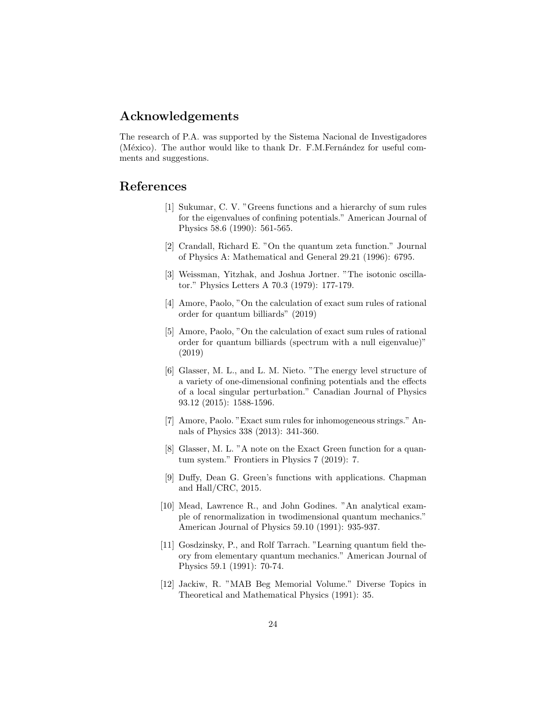## Acknowledgements

The research of P.A. was supported by the Sistema Nacional de Investigadores (México). The author would like to thank Dr. F.M.Fernández for useful comments and suggestions.

## <span id="page-23-1"></span><span id="page-23-0"></span>References

- [1] Sukumar, C. V. "Greens functions and a hierarchy of sum rules for the eigenvalues of confining potentials." American Journal of Physics 58.6 (1990): 561-565.
- [2] Crandall, Richard E. "On the quantum zeta function." Journal of Physics A: Mathematical and General 29.21 (1996): 6795.
- <span id="page-23-2"></span>[3] Weissman, Yitzhak, and Joshua Jortner. "The isotonic oscillator." Physics Letters A 70.3 (1979): 177-179.
- <span id="page-23-4"></span><span id="page-23-3"></span>[4] Amore, Paolo, "On the calculation of exact sum rules of rational order for quantum billiards" (2019)
- [5] Amore, Paolo, "On the calculation of exact sum rules of rational order for quantum billiards (spectrum with a null eigenvalue)" (2019)
- <span id="page-23-5"></span>[6] Glasser, M. L., and L. M. Nieto. "The energy level structure of a variety of one-dimensional confining potentials and the effects of a local singular perturbation." Canadian Journal of Physics 93.12 (2015): 1588-1596.
- <span id="page-23-6"></span>[7] Amore, Paolo. "Exact sum rules for inhomogeneous strings." Annals of Physics 338 (2013): 341-360.
- <span id="page-23-7"></span>[8] Glasser, M. L. "A note on the Exact Green function for a quantum system." Frontiers in Physics 7 (2019): 7.
- <span id="page-23-8"></span>[9] Duffy, Dean G. Green's functions with applications. Chapman and Hall/CRC, 2015.
- <span id="page-23-9"></span>[10] Mead, Lawrence R., and John Godines. "An analytical example of renormalization in twodimensional quantum mechanics." American Journal of Physics 59.10 (1991): 935-937.
- <span id="page-23-10"></span>[11] Gosdzinsky, P., and Rolf Tarrach. "Learning quantum field theory from elementary quantum mechanics." American Journal of Physics 59.1 (1991): 70-74.
- <span id="page-23-11"></span>[12] Jackiw, R. "MAB Beg Memorial Volume." Diverse Topics in Theoretical and Mathematical Physics (1991): 35.